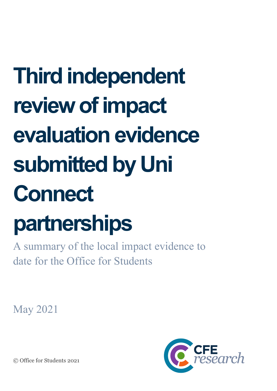# **Third independent review of impact evaluation evidence submitted by Uni Connect**

# **partnerships**

A summary of the local impact evidence to date for the Office for Students

May 2021



© Office for Students 2021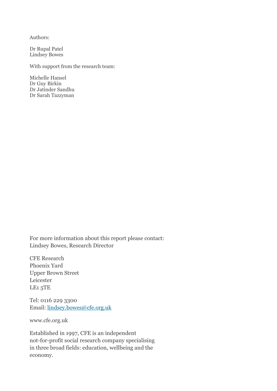Authors:

Dr Rupal Patel Lindsey Bowes

With support from the research team:

Michelle Hansel Dr Guy Birkin Dr Jatinder Sandhu Dr Sarah Tazzyman

For more information about this report please contact: Lindsey Bowes, Research Director

CFE Research Phoenix Yard Upper Brown Street Leicester LE1 5TE

Tel: 0116 229 3300 Email: [lindsey.bowes@cfe.org.uk](mailto:lindsey.bowes@cfe.org.uk)

www.cfe.org.uk

Established in 1997, CFE is an independent not-for-profit social research company specialising in three broad fields: education, wellbeing and the economy.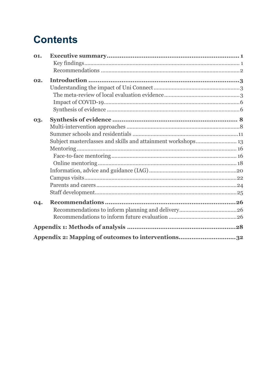# **Contents**

| 01. |                                                    |  |
|-----|----------------------------------------------------|--|
|     |                                                    |  |
|     |                                                    |  |
| 02. |                                                    |  |
|     |                                                    |  |
|     |                                                    |  |
|     |                                                    |  |
|     |                                                    |  |
| 03. |                                                    |  |
|     |                                                    |  |
|     |                                                    |  |
|     |                                                    |  |
|     |                                                    |  |
|     |                                                    |  |
|     |                                                    |  |
|     |                                                    |  |
|     |                                                    |  |
|     |                                                    |  |
|     |                                                    |  |
| 04. |                                                    |  |
|     |                                                    |  |
|     |                                                    |  |
|     |                                                    |  |
|     | Appendix 2: Mapping of outcomes to interventions32 |  |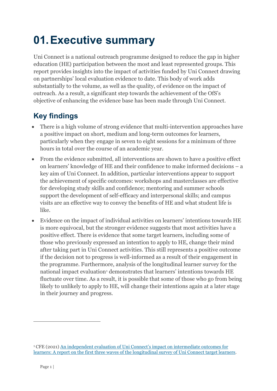# <span id="page-3-0"></span>**01.Executive summary**

Uni Connect is a national outreach programme designed to reduce the gap in higher education (HE) participation between the most and least represented groups. This report provides insights into the impact of activities funded by Uni Connect drawing on partnerships' local evaluation evidence to date. This body of work adds substantially to the volume, as well as the quality, of evidence on the impact of outreach. As a result, a significant step towards the achievement of the OfS's objective of enhancing the evidence base has been made through Uni Connect.

- <span id="page-3-1"></span>• There is a high volume of strong evidence that multi-intervention approaches have a positive impact on short, medium and long-term outcomes for learners, particularly when they engage in seven to eight sessions for a minimum of three hours in total over the course of an academic year.
- From the evidence submitted, all interventions are shown to have a positive effect on learners' knowledge of HE and their confidence to make informed decisions – a key aim of Uni Connect. In addition, particular interventions appear to support the achievement of specific outcomes: workshops and masterclasses are effective for developing study skills and confidence; mentoring and summer schools support the development of self-efficacy and interpersonal skills; and campus visits are an effective way to convey the benefits of HE and what student life is like.
- Evidence on the impact of individual activities on learners' intentions towards HE is more equivocal, but the stronger evidence suggests that most activities have a positive effect. There is evidence that some target learners, including some of those who previously expressed an intention to apply to HE, change their mind after taking part in Uni Connect activities. This still represents a positive outcome if the decision not to progress is well-informed as a result of their engagement in the programme. Furthermore, analysis of the longitudinal learner survey for the national impact evaluation<sup>[1](#page-3-2)</sup> demonstrates that learners' intentions towards HE fluctuate over time. As a result, it is possible that some of those who go from being likely to unlikely to apply to HE, will change their intentions again at a later stage in their journey and progress.

<span id="page-3-2"></span><sup>1</sup> CFE (2021) [An independent evaluation of Uni Connect's impact on intermediate outcomes for](https://www.officeforstudents.org.uk/media/931324a7-ef78-442d-bfc5-9d3c6bb42062/uc_wave-2-survey-findings_final_for_web.pdf)  [learners: A report on the first three waves of the longitudinal survey of Uni Connect target learners.](https://www.officeforstudents.org.uk/media/931324a7-ef78-442d-bfc5-9d3c6bb42062/uc_wave-2-survey-findings_final_for_web.pdf)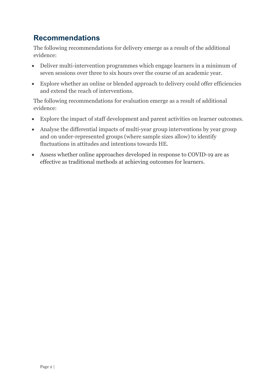#### <span id="page-4-0"></span>**Recommendations**

The following recommendations for delivery emerge as a result of the additional evidence:

- Deliver multi-intervention programmes which engage learners in a minimum of seven sessions over three to six hours over the course of an academic year.
- Explore whether an online or blended approach to delivery could offer efficiencies and extend the reach of interventions.

The following recommendations for evaluation emerge as a result of additional evidence:

- Explore the impact of staff development and parent activities on learner outcomes.
- Analyse the differential impacts of multi-year group interventions by year group and on under-represented groups (where sample sizes allow) to identify fluctuations in attitudes and intentions towards HE.
- Assess whether online approaches developed in response to COVID-19 are as effective as traditional methods at achieving outcomes for learners.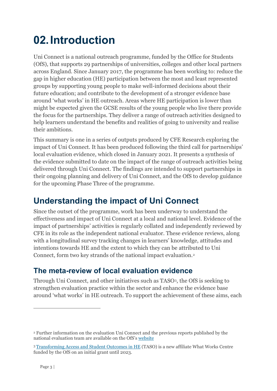# <span id="page-5-0"></span>**02.Introduction**

Uni Connect is a national outreach programme, funded by the Office for Students (OfS), that supports 29 partnerships of universities, colleges and other local partners across England. Since January 2017, the programme has been working to: reduce the gap in higher education (HE) participation between the most and least represented groups by supporting young people to make well-informed decisions about their future education; and contribute to the development of a stronger evidence base around 'what works' in HE outreach. Areas where HE participation is lower than might be expected given the GCSE results of the young people who live there provide the focus for the partnerships. They deliver a range of outreach activities designed to help learners understand the benefits and realities of going to university and realise their ambitions.

This summary is one in a series of outputs produced by CFE Research exploring the impact of Uni Connect. It has been produced following the third call for partnerships' local evaluation evidence, which closed in January 2021. It presents a synthesis of the evidence submitted to date on the impact of the range of outreach activities being delivered through Uni Connect. The findings are intended to support partnerships in their ongoing planning and delivery of Uni Connect, and the OfS to develop guidance for the upcoming Phase Three of the programme.

# <span id="page-5-1"></span>**Understanding the impact of Uni Connect**

Since the outset of the programme, work has been underway to understand the effectiveness and impact of Uni Connect at a local and national level. Evidence of the impact of partnerships' activities is regularly collated and independently reviewed by CFE in its role as the independent national evaluator. These evidence reviews, along with a longitudinal survey tracking changes in learners' knowledge, attitudes and intentions towards HE and the extent to which they can be attributed to Uni Connect, form two key strands of the national impact evaluation.[2](#page-5-3)

#### <span id="page-5-2"></span>**The meta-review of local evaluation evidence**

Through Uni Connect, and other initiatives such as TASO[3,](#page-5-4) the OfS is seeking to strengthen evaluation practice within the sector and enhance the evidence base around 'what works' in HE outreach. To support the achievement of these aims, each

<span id="page-5-3"></span><sup>2</sup> Further information on the evaluation Uni Connect and the previous reports published by the national evaluation team are available on the OfS'[s website](https://www.officeforstudents.org.uk/advice-and-guidance/promoting-equal-opportunities/uni-connect/evaluating-uni-connects-impact/)

<span id="page-5-4"></span><sup>3</sup> [Transforming Access and Student Outcomes in HE](https://taso.org.uk/) (TASO) is a new affiliate What Works Centre funded by the OfS on an initial grant until 2023.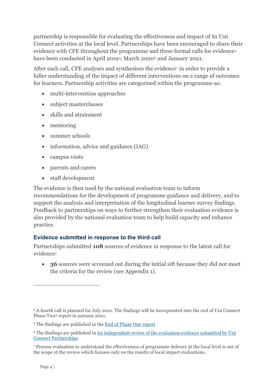partnership is responsible for evaluating the effectiveness and impact of its Uni Connect activities at the local level. Partnerships have been encouraged to share their evidence with CFE throughout the programme and three formal calls for evidence[4](#page-6-0) have been conducted in April 2019<sup>[5](#page-6-1)</sup>, March 2020<sup>[6](#page-6-2)</sup> and January 2021.

After each call, CFE analyses and synthesises the evidence<sup>[7](#page-6-3)</sup> in order to provide a fuller understanding of the impact of different interventions on a range of outcomes for learners. Partnership activities are categorised within the programme as:

- multi-intervention approaches
- subject masterclasses
- skills and attainment
- mentoring
- summer schools
- information, advice and guidance (IAG)
- campus visits
- parents and carers
- staff development

The evidence is then used by the national evaluation team to inform recommendations for the development of programme guidance and delivery, and to support the analysis and interpretation of the longitudinal learner survey findings. Feedback to partnerships on ways to further strengthen their evaluation evidence is also provided by the national evaluation team to help build capacity and enhance practice.

#### **Evidence submitted in response to the third call**

Partnerships submitted **108** sources of evidence in response to the latest call for evidence:

• **36** sources were screened out during the initial sift because they did not meet the criteria for the review (see Appendix 1).

<span id="page-6-0"></span><sup>4</sup> A fourth call is planned for July 2021. The findings will be incorporated into the end of Uni Connect Phase Two4 report in autumn 2021.

<span id="page-6-1"></span><sup>5</sup> The findings are published in the [End of Phase One report](https://www.officeforstudents.org.uk/media/2d55ab17-7108-4e1d-b883-6bf8d1504e72/ncop-end-of-phase-one-evaluation-report.pdf#:%7E:text=of%20Phase%201%20of%20NCOP%2C%20which%20ended%20in,an%20annual%20survey%20of%20partnership%20staff%2C%2012%20field)

<span id="page-6-2"></span><sup>&</sup>lt;sup>6</sup> The findings are published in An independent review of the evaluation evidence submitted by Uni [Connect Partnerships.](https://www.officeforstudents.org.uk/media/e3989a60-1314-43f5-aee0-7e94ae3946da/cfe-review-of-uni-connect-evaluation-evidence.pdf)

<span id="page-6-3"></span><sup>7</sup> Process evaluation to understand the effectiveness of programme delivery at the local level is out of the scope of the review which focuses only on the results of local impact evaluations.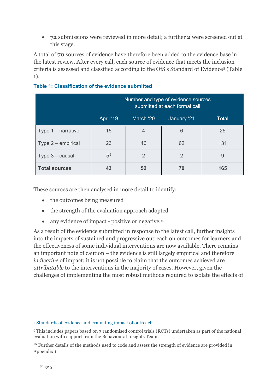• **72** submissions were reviewed in more detail; a further **2** were screened out at this stage.

A total of **70** sources of evidence have therefore been added to the evidence base in the latest review. After every call, each source of evidence that meets the inclusion criteria is assessed and classified according to the OfS's Standard of Evidence[8](#page-7-0) (Table 1).

|                      | Number and type of evidence sources<br>submitted at each formal call |                |                |       |
|----------------------|----------------------------------------------------------------------|----------------|----------------|-------|
|                      | April '19                                                            | March '20      | January '21    | Total |
| Type $1$ – narrative | 15                                                                   | $\overline{4}$ | 6              | 25    |
| Type 2 – empirical   | 23                                                                   | 46             | 62             | 131   |
| Type $3 -$ causal    | 5 <sup>9</sup>                                                       | $\overline{2}$ | $\overline{2}$ | 9     |
| <b>Total sources</b> | 43                                                                   | 52             | 70             | 165   |

#### **Table 1: Classification of the evidence submitted**

These sources are then analysed in more detail to identify:

- the outcomes being measured
- the strength of the evaluation approach adopted
- any evidence of impact positive or negative.<sup>[10](#page-7-2)</sup>

As a result of the evidence submitted in response to the latest call, further insights into the impacts of sustained and progressive outreach on outcomes for learners and the effectiveness of some individual interventions are now available. There remains an important note of caution – the evidence is still largely empirical and therefore *indicative* of impact; it is not possible to claim that the outcomes achieved are *attributable* to the interventions in the majority of cases. However, given the challenges of implementing the most robust methods required to isolate the effects of

<span id="page-7-0"></span><sup>8</sup> [Standards of evidence and evaluating impact of outreach](https://www.officeforstudents.org.uk/publications/standards-of-evidence-and-evaluating-impact-of-outreach/)

<span id="page-7-1"></span><sup>9</sup> This includes papers based on 3 randomised control trials (RCTs) undertaken as part of the national evaluation with support from the Behavioural Insights Team.

<span id="page-7-2"></span><sup>&</sup>lt;sup>10</sup> Further details of the methods used to code and assess the strength of evidence are provided in Appendix 1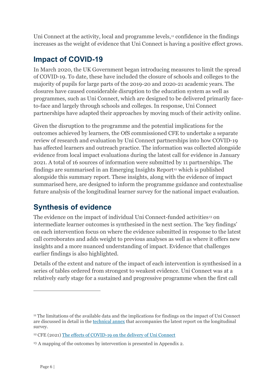Uni Connect at the activity, local and programme levels, $\mu$  confidence in the findings increases as the weight of evidence that Uni Connect is having a positive effect grows.

#### <span id="page-8-0"></span>**Impact of COVID-19**

In March 2020, the UK Government began introducing measures to limit the spread of COVID-19. To date, these have included the closure of schools and colleges to the majority of pupils for large parts of the 2019-20 and 2020-21 academic years. The closures have caused considerable disruption to the education system as well as programmes, such as Uni Connect, which are designed to be delivered primarily faceto-face and largely through schools and colleges. In response, Uni Connect partnerships have adapted their approaches by moving much of their activity online.

Given the disruption to the programme and the potential implications for the outcomes achieved by learners, the OfS commissioned CFE to undertake a separate review of research and evaluation by Uni Connect partnerships into how COVID-19 has affected learners and outreach practice. The information was collected alongside evidence from local impact evaluations during the latest call for evidence in January 2021. A total of 16 sources of information were submitted by 11 partnerships. The findings are summarised in an Emerging Insights Report<sup>[12](#page-8-3)</sup> which is published alongside this summary report. These insights, along with the evidence of impact summarised here, are designed to inform the programme guidance and contextualise future analysis of the longitudinal learner survey for the national impact evaluation.

#### <span id="page-8-1"></span>**Synthesis of evidence**

The evidence on the impact of individual Uni Connect-funded activities<sup>[13](#page-8-4)</sup> on intermediate learner outcomes is synthesised in the next section. The 'key findings' on each intervention focus on where the evidence submitted in response to the latest call corroborates and adds weight to previous analyses as well as where it offers new insights and a more nuanced understanding of impact. Evidence that challenges earlier findings is also highlighted.

Details of the extent and nature of the impact of each intervention is synthesised in a series of tables ordered from strongest to weakest evidence. Uni Connect was at a relatively early stage for a sustained and progressive programme when the first call

<span id="page-8-2"></span><sup>11</sup> The limitations of the available data and the implications for findings on the impact of Uni Connect are discussed in detail in th[e technical](http://cfe.org.uk/app/uploads/UC_Wave_2_survey_findings_technical-annexe_final_version.pdf) annex that accompanies the latest report on the longitudinal survey.

<span id="page-8-3"></span><sup>12</sup> CFE (2021[\) The effects of COVID-19 on the delivery of Uni Connect](https://www.officeforstudents.org.uk/publications/emerging-insight-report-covid-19-and-uni-connect/)

<span id="page-8-4"></span><sup>&</sup>lt;sup>13</sup> A mapping of the outcomes by intervention is presented in Appendix 2.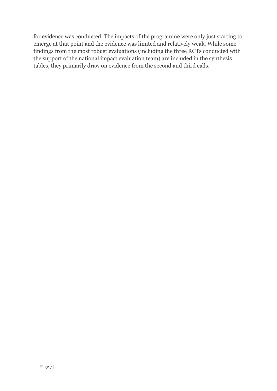for evidence was conducted. The impacts of the programme were only just starting to emerge at that point and the evidence was limited and relatively weak. While some findings from the most robust evaluations (including the three RCTs conducted with the support of the national impact evaluation team) are included in the synthesis tables, they primarily draw on evidence from the second and third calls.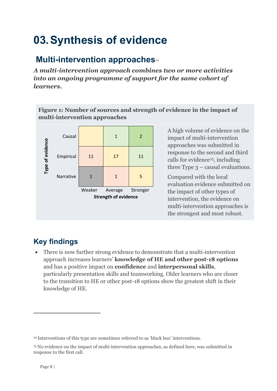# <span id="page-10-0"></span>**03.Synthesis of evidence**

# <span id="page-10-1"></span>**Multi-intervention approaches**<sup>[14](#page-10-2)</sup>

*A multi-intervention approach combines two or more activities into an ongoing programme of support for the same cohort of learners.*

**Figure 1: Number of sources and strength of evidence in the impact of multi-intervention approaches**



A high volume of evidence on the impact of multi-intervention approaches was submitted in response to the second and third calls for evidence[15,](#page-10-3) including three Type  $3$  – causal evaluations.

Compared with the local evaluation evidence submitted on the impact of other types of intervention, the evidence on multi-intervention approaches is the strongest and most robust.

# **Key findings**

• There is now further strong evidence to demonstrate that a multi-intervention approach increases learners' **knowledge of HE and other post-18 options** and has a positive impact on **confidence** and **interpersonal skills**, particularly presentation skills and teamworking. Older learners who are closer to the transition to HE or other post-18 options show the greatest shift in their knowledge of HE.

<span id="page-10-2"></span><sup>14</sup> Interventions of this type are sometimes referred to as 'black box' interventions.

<span id="page-10-3"></span><sup>15</sup> No evidence on the impact of multi-intervention approaches, as defined here, was submitted in response to the first call.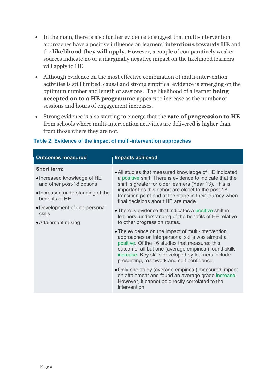- In the main, there is also further evidence to suggest that multi-intervention approaches have a positive influence on learners' **intentions towards HE** and the **likelihood they will apply**. However, a couple of comparatively weaker sources indicate no or a marginally negative impact on the likelihood learners will apply to HE.
- Although evidence on the most effective combination of multi-intervention activities is still limited, causal and strong empirical evidence is emerging on the optimum number and length of sessions. The likelihood of a learner **being accepted on to a HE programme** appears to increase as the number of sessions and hours of engagement increases.
- Strong evidence is also starting to emerge that the **rate of progression to HE** from schools where multi-intervention activities are delivered is higher than from those where they are not.

| <b>Outcomes measured</b>                                                        | <b>Impacts achieved</b>                                                                                                                                                                                                                                                                                               |  |
|---------------------------------------------------------------------------------|-----------------------------------------------------------------------------------------------------------------------------------------------------------------------------------------------------------------------------------------------------------------------------------------------------------------------|--|
| <b>Short term:</b><br>• Increased knowledge of HE                               | • All studies that measured knowledge of HE indicated<br>a positive shift. There is evidence to indicate that the                                                                                                                                                                                                     |  |
| and other post-18 options<br>• Increased understanding of the<br>benefits of HE | shift is greater for older learners (Year 13). This is<br>important as this cohort are closet to the post-18<br>transition point and at the stage in their journey when<br>final decisions about HE are made.                                                                                                         |  |
| • Development of interpersonal<br>skills<br>• Attainment raising                | • There is evidence that indicates a positive shift in<br>learners' understanding of the benefits of HE relative<br>to other progression routes.                                                                                                                                                                      |  |
|                                                                                 | • The evidence on the impact of multi-intervention<br>approaches on interpersonal skills was almost all<br>positive. Of the 16 studies that measured this<br>outcome, all but one (average empirical) found skills<br>increase. Key skills developed by learners include<br>presenting, teamwork and self-confidence. |  |
|                                                                                 | • Only one study (average empirical) measured impact<br>on attainment and found an average grade increase.<br>However, it cannot be directly correlated to the<br>intervention.                                                                                                                                       |  |

#### **Table 2: Evidence of the impact of multi-intervention approaches**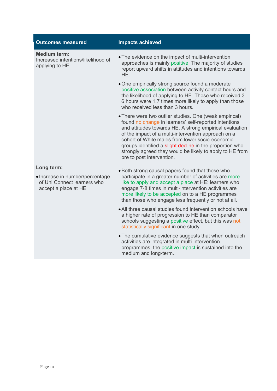| <b>Outcomes measured</b>                                                               | <b>Impacts achieved</b>                                                                                                                                                                                                                                                                                                                                                                                                                   |
|----------------------------------------------------------------------------------------|-------------------------------------------------------------------------------------------------------------------------------------------------------------------------------------------------------------------------------------------------------------------------------------------------------------------------------------------------------------------------------------------------------------------------------------------|
| <b>Medium term:</b><br>Increased intentions/likelihood of<br>applying to HE            | • The evidence on the impact of multi-intervention<br>approaches is mainly positive. The majority of studies<br>report upward shifts in attitudes and intentions towards<br>HE.                                                                                                                                                                                                                                                           |
|                                                                                        | • One empirically strong source found a moderate<br>positive association between activity contact hours and<br>the likelihood of applying to HE. Those who received 3-<br>6 hours were 1.7 times more likely to apply than those<br>who received less than 3 hours.                                                                                                                                                                       |
|                                                                                        | • There were two outlier studies. One (weak empirical)<br>found no change in learners' self-reported intentions<br>and attitudes towards HE. A strong empirical evaluation<br>of the impact of a multi-intervention approach on a<br>cohort of White males from lower socio-economic<br>groups identified a slight decline in the proportion who<br>strongly agreed they would be likely to apply to HE from<br>pre to post intervention. |
| Long term:                                                                             | • Both strong causal papers found that those who                                                                                                                                                                                                                                                                                                                                                                                          |
| • Increase in number/percentage<br>of Uni Connect learners who<br>accept a place at HE | participate in a greater number of activities are more<br>like to apply and accept a place at HE: learners who<br>engage 7-8 times in multi-intervention activities are<br>more likely to be accepted on to a HE programmes<br>than those who engage less frequently or not at all.                                                                                                                                                       |
|                                                                                        | • All three causal studies found intervention schools have<br>a higher rate of progression to HE than comparator<br>schools suggesting a positive effect, but this was not<br>statistically significant in one study.                                                                                                                                                                                                                     |
|                                                                                        | • The cumulative evidence suggests that when outreach<br>activities are integrated in multi-intervention<br>programmes, the positive impact is sustained into the<br>medium and long-term.                                                                                                                                                                                                                                                |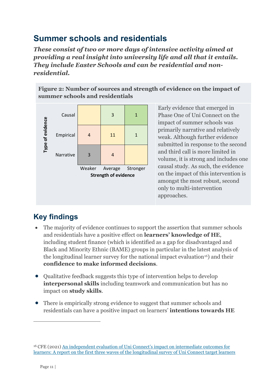## <span id="page-13-0"></span>**Summer schools and residentials**

*These consist of two or more days of intensive activity aimed at providing a real insight into university life and all that it entails. They include Easter Schools and can be residential and nonresidential.*

**Figure 2: Number of sources and strength of evidence on the impact of summer schools and residentials**



Early evidence that emerged in Phase One of Uni Connect on the impact of summer schools was primarily narrative and relatively weak. Although further evidence submitted in response to the second and third call is more limited in volume, it is strong and includes one causal study. As such, the evidence on the impact of this intervention is amongst the most robust, second only to multi-intervention approaches.

- The majority of evidence continues to support the assertion that summer schools and residentials have a positive effect on **learners' knowledge of HE**, including student finance (which is identified as a gap for disadvantaged and Black and Minority Ethnic (BAME) groups in particular in the latest analysis of the longitudinal learner survey for the national impact evaluation<sup>[16](#page-13-1)</sup>) and their **confidence to make informed decisions**.
- Qualitative feedback suggests this type of intervention helps to develop **interpersonal skills** including teamwork and communication but has no impact on **study skills**.
- There is empirically strong evidence to suggest that summer schools and residentials can have a positive impact on learners' **intentions towards HE**

<span id="page-13-1"></span><sup>16</sup> CFE (2021) [An independent evaluation of Uni Connect's impact on intermediate outcomes for](https://www.officeforstudents.org.uk/media/931324a7-ef78-442d-bfc5-9d3c6bb42062/uc_wave-2-survey-findings_final_for_web.pdf)  [learners: A report on the first three waves of the longitudinal survey of Uni Connect target learners](https://www.officeforstudents.org.uk/media/931324a7-ef78-442d-bfc5-9d3c6bb42062/uc_wave-2-survey-findings_final_for_web.pdf)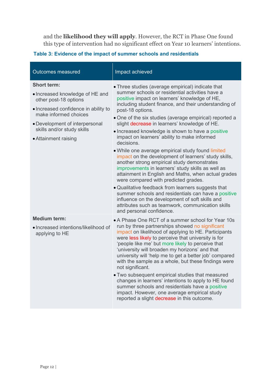and the **likelihood they will apply**. However, the RCT in Phase One found this type of intervention had no significant effect on Year 10 learners' intentions.

#### **Table 3: Evidence of the impact of summer schools and residentials**

| <b>Outcomes measured</b>                                                                                                                                                                                                                | Impact achieved                                                                                                                                                                                                                                                                                                                                                                                                                                                                                                                                                                                                                                                                                                                                                                                                                                                                                                                                                                                                                    |
|-----------------------------------------------------------------------------------------------------------------------------------------------------------------------------------------------------------------------------------------|------------------------------------------------------------------------------------------------------------------------------------------------------------------------------------------------------------------------------------------------------------------------------------------------------------------------------------------------------------------------------------------------------------------------------------------------------------------------------------------------------------------------------------------------------------------------------------------------------------------------------------------------------------------------------------------------------------------------------------------------------------------------------------------------------------------------------------------------------------------------------------------------------------------------------------------------------------------------------------------------------------------------------------|
| <b>Short term:</b><br>• Increased knowledge of HE and<br>other post-18 options<br>· Increased confidence in ability to<br>make informed choices<br>• Development of interpersonal<br>skills and/or study skills<br>• Attainment raising | • Three studies (average empirical) indicate that<br>summer schools or residential activities have a<br>positive impact on learners' knowledge of HE,<br>including student finance, and their understanding of<br>post-18 options.<br>• One of the six studies (average empirical) reported a<br>slight decrease in learners' knowledge of HE.<br>• Increased knowledge is shown to have a positive<br>impact on learners' ability to make informed<br>decisions.<br>. While one average empirical study found limited<br>impact on the development of learners' study skills,<br>another strong empirical study demonstrates<br>improvements in learners' study skills as well as<br>attainment in English and Maths, when actual grades<br>were compared with predicted grades.<br>• Qualitative feedback from learners suggests that<br>summer schools and residentials can have a positive<br>influence on the development of soft skills and<br>attributes such as teamwork, communication skills<br>and personal confidence. |
| <b>Medium term:</b><br>• Increased intentions/likelihood of<br>applying to HE                                                                                                                                                           | • A Phase One RCT of a summer school for Year 10s<br>run by three partnerships showed no significant<br>impact on likelihood of applying to HE. Participants<br>were less likely to perceive that university is for<br>'people like me' but more likely to perceive that<br>'university will broaden my horizons' and that<br>university will 'help me to get a better job' compared<br>with the sample as a whole, but these findings were<br>not significant.<br>. Two subsequent empirical studies that measured<br>changes in learners' intentions to apply to HE found<br>summer schools and residentials have a positive<br>impact. However, one average empirical study<br>reported a slight decrease in this outcome.                                                                                                                                                                                                                                                                                                      |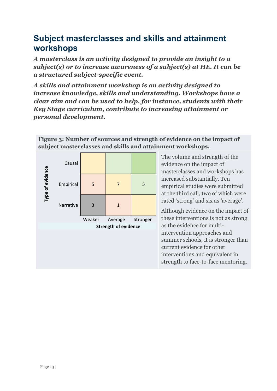#### <span id="page-15-0"></span>**Subject masterclasses and skills and attainment workshops**

*A masterclass is an activity designed to provide an insight to a subject(s) or to increase awareness of a subject(s) at HE. It can be a structured subject-specific event.*

*A skills and attainment workshop is an activity designed to increase knowledge, skills and understanding. Workshops have a clear aim and can be used to help, for instance, students with their Key Stage curriculum, contribute to increasing attainment or personal development.*

|                  | Causal    |        |                             |          |
|------------------|-----------|--------|-----------------------------|----------|
| Type of evidence | Empirical | 5      | 7                           | 5        |
|                  | Narrative | 3      | $\mathbf{1}$                |          |
|                  |           | Weaker | Average                     | Stronger |
|                  |           |        | <b>Strength of evidence</b> |          |
|                  |           |        |                             |          |
|                  |           |        |                             |          |
|                  |           |        |                             |          |

**Figure 3: Number of sources and strength of evidence on the impact of subject masterclasses and skills and attainment workshops.**

> The volume and strength of the evidence on the impact of masterclasses and workshops has increased substantially. Ten empirical studies were submitted at the third call, two of which were rated 'strong' and six as 'average'.

Although evidence on the impact of these interventions is not as strong as the evidence for multiintervention approaches and summer schools, it is stronger than current evidence for other interventions and equivalent in strength to face-to-face mentoring.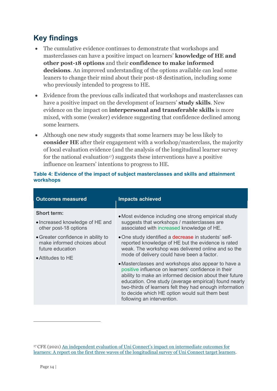#### **Key findings**

- The cumulative evidence continues to demonstrate that workshops and masterclasses can have a positive impact on learners' **knowledge of HE and other post-18 options** and their **confidence to make informed decisions**. An improved understanding of the options available can lead some leaners to change their mind about their post-18 destination, including some who previously intended to progress to HE.
- Evidence from the previous calls indicated that workshops and masterclasses can have a positive impact on the development of learners' **study skills**. New evidence on the impact on **interpersonal and transferable skills** is more mixed, with some (weaker) evidence suggesting that confidence declined among some learners.
- Although one new study suggests that some learners may be less likely to **consider HE** after their engagement with a workshop/masterclass, the majority of local evaluation evidence (and the analysis of the longitudinal learner survey for the national evaluation<sup>17</sup>) suggests these interventions have a positive influence on learners' intentions to progress to HE.

| <b>Outcomes measured</b>                                                              | <b>Impacts achieved</b>                                                                                                                                                                                                                                                                                                                                                   |  |
|---------------------------------------------------------------------------------------|---------------------------------------------------------------------------------------------------------------------------------------------------------------------------------------------------------------------------------------------------------------------------------------------------------------------------------------------------------------------------|--|
| <b>Short term:</b>                                                                    | • Most evidence including one strong empirical study                                                                                                                                                                                                                                                                                                                      |  |
| • Increased knowledge of HE and<br>other post-18 options                              | suggests that workshops / masterclasses are<br>associated with increased knowledge of HE.                                                                                                                                                                                                                                                                                 |  |
| • Greater confidence in ability to<br>make informed choices about<br>future education | • One study identified a <b>decrease</b> in students' self-<br>reported knowledge of HE but the evidence is rated<br>weak. The workshop was delivered online and so the<br>mode of delivery could have been a factor.                                                                                                                                                     |  |
| • Attitudes to HE                                                                     | • Masterclasses and workshops also appear to have a<br>positive influence on learners' confidence in their<br>ability to make an informed decision about their future<br>education. One study (average empirical) found nearly<br>two-thirds of learners felt they had enough information<br>to decide which HE option would suit them best<br>following an intervention. |  |

#### **Table 4: Evidence of the impact of subject masterclasses and skills and attainment workshops**

<span id="page-16-0"></span><sup>17</sup> CFE (2021) [An independent evaluation of Uni Connect's impact on intermediate outcomes for](https://www.officeforstudents.org.uk/media/931324a7-ef78-442d-bfc5-9d3c6bb42062/uc_wave-2-survey-findings_final_for_web.pdf)  [learners: A report on the first three waves of the longitudinal survey of Uni Connect target learners.](https://www.officeforstudents.org.uk/media/931324a7-ef78-442d-bfc5-9d3c6bb42062/uc_wave-2-survey-findings_final_for_web.pdf)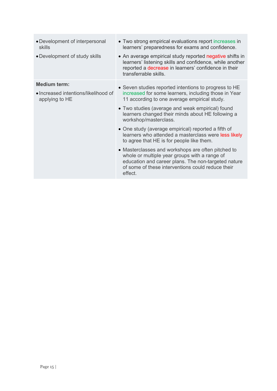| • Development of interpersonal<br>skills<br>• Development of study skills     | • Two strong empirical evaluations report increases in<br>learners' preparedness for exams and confidence.<br>• An average empirical study reported negative shifts in<br>learners' listening skills and confidence, while another<br>reported a decrease in learners' confidence in their<br>transferrable skills.                                                                                                                                                                                                                                                                                                                                                                       |
|-------------------------------------------------------------------------------|-------------------------------------------------------------------------------------------------------------------------------------------------------------------------------------------------------------------------------------------------------------------------------------------------------------------------------------------------------------------------------------------------------------------------------------------------------------------------------------------------------------------------------------------------------------------------------------------------------------------------------------------------------------------------------------------|
| <b>Medium term:</b><br>• Increased intentions/likelihood of<br>applying to HE | • Seven studies reported intentions to progress to HE<br>increased for some learners, including those in Year<br>11 according to one average empirical study.<br>• Two studies (average and weak empirical) found<br>learners changed their minds about HE following a<br>workshop/masterclass.<br>• One study (average empirical) reported a fifth of<br>learners who attended a masterclass were less likely<br>to agree that HE is for people like them.<br>• Masterclasses and workshops are often pitched to<br>whole or multiple year groups with a range of<br>education and career plans. The non-targeted nature<br>of some of these interventions could reduce their<br>effect. |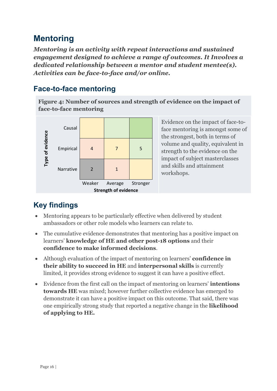#### <span id="page-18-0"></span>**Mentoring**

*Mentoring is an activity with repeat interactions and sustained engagement designed to achieve a range of outcomes. It Involves a dedicated relationship between a mentor and student mentee(s). Activities can be face-to-face and/or online.*

#### <span id="page-18-1"></span>**Face-to-face mentoring**

**Figure 4: Number of sources and strength of evidence on the impact of face-to-face mentoring**



Evidence on the impact of face-toface mentoring is amongst some of the strongest, both in terms of volume and quality, equivalent in strength to the evidence on the impact of subject masterclasses and skills and attainment workshops.

- Mentoring appears to be particularly effective when delivered by student ambassadors or other role models who learners can relate to.
- The cumulative evidence demonstrates that mentoring has a positive impact on learners' **knowledge of HE and other post-18 options** and their **confidence to make informed decisions**.
- Although evaluation of the impact of mentoring on learners' **confidence in their ability to succeed in HE** and **interpersonal skills** is currently limited, it provides strong evidence to suggest it can have a positive effect.
- Evidence from the first call on the impact of mentoring on learners' **intentions towards HE** was mixed; however further collective evidence has emerged to demonstrate it can have a positive impact on this outcome. That said, there was one empirically strong study that reported a negative change in the **likelihood of applying to HE.**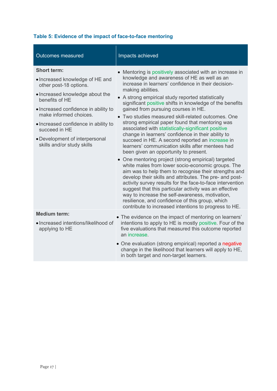| Table 5: Evidence of the impact of face-to-face mentoring |  |
|-----------------------------------------------------------|--|
|-----------------------------------------------------------|--|

| <b>Outcomes measured</b>                                       | Impacts achieved                                                                                                                                                                                                                                                                                                                                                                                                                                                                                                   |
|----------------------------------------------------------------|--------------------------------------------------------------------------------------------------------------------------------------------------------------------------------------------------------------------------------------------------------------------------------------------------------------------------------------------------------------------------------------------------------------------------------------------------------------------------------------------------------------------|
| <b>Short term:</b>                                             | • Mentoring is positively associated with an increase in                                                                                                                                                                                                                                                                                                                                                                                                                                                           |
| · Increased knowledge of HE and<br>other post-18 options.      | knowledge and awareness of HE as well as an<br>increase in learners' confidence in their decision-<br>making abilities.                                                                                                                                                                                                                                                                                                                                                                                            |
| • Increased knowledge about the<br>benefits of HE              | • A strong empirical study reported statistically<br>significant positive shifts in knowledge of the benefits                                                                                                                                                                                                                                                                                                                                                                                                      |
| • Increased confidence in ability to<br>make informed choices. | gained from pursuing courses in HE.<br>• Two studies measured skill-related outcomes. One                                                                                                                                                                                                                                                                                                                                                                                                                          |
| • Increased confidence in ability to<br>succeed in HE          | strong empirical paper found that mentoring was<br>associated with statistically-significant positive                                                                                                                                                                                                                                                                                                                                                                                                              |
| • Development of interpersonal<br>skills and/or study skills   | change in learners' confidence in their ability to<br>succeed in HE. A second reported an increase in<br>learners' communication skills after mentees had<br>been given an opportunity to present.                                                                                                                                                                                                                                                                                                                 |
|                                                                | • One mentoring project (strong empirical) targeted<br>white males from lower socio-economic groups. The<br>aim was to help them to recognise their strengths and<br>develop their skills and attributes. The pre- and post-<br>activity survey results for the face-to-face intervention<br>suggest that this particular activity was an effective<br>way to increase the self-awareness, motivation,<br>resilience, and confidence of this group, which<br>contribute to increased intentions to progress to HE. |
| <b>Medium term:</b>                                            | • The evidence on the impact of mentoring on learners'                                                                                                                                                                                                                                                                                                                                                                                                                                                             |
| • Increased intentions/likelihood of<br>applying to HE         | intentions to apply to HE is mostly positive. Four of the<br>five evaluations that measured this outcome reported<br>an increase.                                                                                                                                                                                                                                                                                                                                                                                  |
|                                                                | • One evaluation (strong empirical) reported a negative<br>change in the likelihood that learners will apply to HE,<br>in both target and non-target learners.                                                                                                                                                                                                                                                                                                                                                     |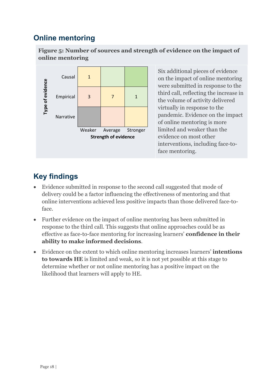#### <span id="page-20-0"></span>**Online mentoring**

**Figure 5: Number of sources and strength of evidence on the impact of online mentoring**



Six additional pieces of evidence on the impact of online mentoring were submitted in response to the third call, reflecting the increase in the volume of activity delivered virtually in response to the pandemic. Evidence on the impact of online mentoring is more limited and weaker than the evidence on most other interventions, including face-toface mentoring.

- Evidence submitted in response to the second call suggested that mode of delivery could be a factor influencing the effectiveness of mentoring and that online interventions achieved less positive impacts than those delivered face-toface.
- Further evidence on the impact of online mentoring has been submitted in response to the third call. This suggests that online approaches could be as effective as face-to-face mentoring for increasing learners' **confidence in their ability to make informed decisions**.
- Evidence on the extent to which online mentoring increases learners' **intentions to towards HE** is limited and weak, so it is not yet possible at this stage to determine whether or not online mentoring has a positive impact on the likelihood that learners will apply to HE.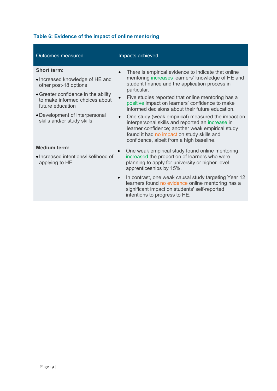|  |  | Table 6: Evidence of the impact of online mentoring |
|--|--|-----------------------------------------------------|
|--|--|-----------------------------------------------------|

| <b>Outcomes measured</b>                                                                                                                                                                                                                    | Impacts achieved                                                                                                                                                                                                                                                                                                                                                                                                                                                                                                                                                                                          |
|---------------------------------------------------------------------------------------------------------------------------------------------------------------------------------------------------------------------------------------------|-----------------------------------------------------------------------------------------------------------------------------------------------------------------------------------------------------------------------------------------------------------------------------------------------------------------------------------------------------------------------------------------------------------------------------------------------------------------------------------------------------------------------------------------------------------------------------------------------------------|
| <b>Short term:</b><br>• Increased knowledge of HE and<br>other post-18 options<br>• Greater confidence in the ability<br>to make informed choices about<br>future education<br>• Development of interpersonal<br>skills and/or study skills | There is empirical evidence to indicate that online<br>$\bullet$<br>mentoring increases learners' knowledge of HE and<br>student finance and the application process in<br>particular.<br>Five studies reported that online mentoring has a<br>positive impact on learners' confidence to make<br>informed decisions about their future education.<br>One study (weak empirical) measured the impact on<br>interpersonal skills and reported an increase in<br>learner confidence; another weak empirical study<br>found it had no impact on study skills and<br>confidence, albeit from a high baseline. |
| <b>Medium term:</b><br>• Increased intentions/likelihood of<br>applying to HE                                                                                                                                                               | One weak empirical study found online mentoring<br>$\bullet$<br>increased the proportion of learners who were<br>planning to apply for university or higher-level<br>apprenticeships by 15%.<br>In contrast, one weak causal study targeting Year 12<br>$\bullet$<br>learners found no evidence online mentoring has a<br>significant impact on students' self-reported<br>intentions to progress to HE.                                                                                                                                                                                                  |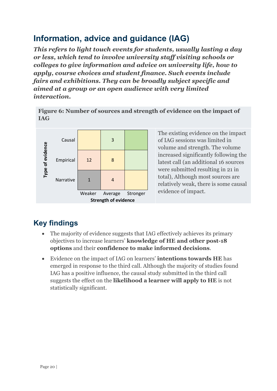## <span id="page-22-0"></span>**Information, advice and guidance (IAG)**

*This refers to light touch events for students, usually lasting a day or less, which tend to involve university staff visiting schools or colleges to give information and advice on university life, how to apply, course choices and student finance. Such events include fairs and exhibitions. They can be broadly subject specific and aimed at a group or an open audience with very limited interaction.*

**Figure 6: Number of sources and strength of evidence on the impact of IAG**



The existing evidence on the impact of IAG sessions was limited in volume and strength. The volume increased significantly following the latest call (an additional 16 sources were submitted resulting in 21 in total), Although most sources are relatively weak, there is some causal evidence of impact.

- The majority of evidence suggests that IAG effectively achieves its primary objectives to increase learners' **knowledge of HE and other post-18 options** and their **confidence to make informed decisions**.
- Evidence on the impact of IAG on learners' **intentions towards HE** has emerged in response to the third call. Although the majority of studies found IAG has a positive influence, the causal study submitted in the third call suggests the effect on the **likelihood a learner will apply to HE** is not statistically significant.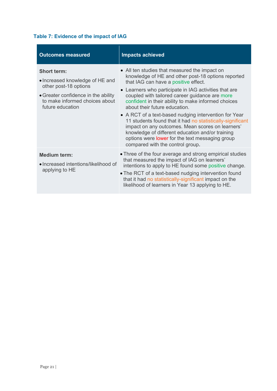#### **Table 7: Evidence of the impact of IAG**

| <b>Outcomes measured</b>                                                                                                                                                    | <b>Impacts achieved</b>                                                                                                                                                                                                                                                                                                                                                                                                                                                                                                                                                                                                                                              |
|-----------------------------------------------------------------------------------------------------------------------------------------------------------------------------|----------------------------------------------------------------------------------------------------------------------------------------------------------------------------------------------------------------------------------------------------------------------------------------------------------------------------------------------------------------------------------------------------------------------------------------------------------------------------------------------------------------------------------------------------------------------------------------------------------------------------------------------------------------------|
| <b>Short term:</b><br>• Increased knowledge of HE and<br>other post-18 options<br>• Greater confidence in the ability<br>to make informed choices about<br>future education | • All ten studies that measured the impact on<br>knowledge of HE and other post-18 options reported<br>that IAG can have a positive effect.<br>• Learners who participate in IAG activities that are<br>coupled with tailored career guidance are more<br>confident in their ability to make informed choices<br>about their future education.<br>• A RCT of a text-based nudging intervention for Year<br>11 students found that it had no statistically-significant<br>impact on any outcomes. Mean scores on learners'<br>knowledge of different education and/or training<br>options were lower for the text messaging group<br>compared with the control group. |
| <b>Medium term:</b><br>• Increased intentions/likelihood of<br>applying to HE                                                                                               | • Three of the four average and strong empirical studies<br>that measured the impact of IAG on learners'<br>intentions to apply to HE found some positive change.<br>. The RCT of a text-based nudging intervention found<br>that it had no statistically-significant impact on the<br>likelihood of learners in Year 13 applying to HE.                                                                                                                                                                                                                                                                                                                             |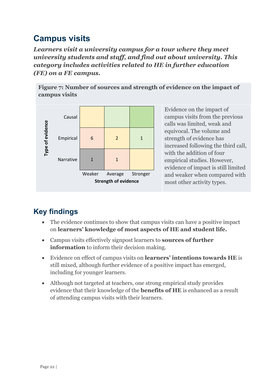# <span id="page-24-0"></span>**Campus visits**

*Learners visit a university campus for a tour where they meet university students and staff, and find out about university. This category includes activities related to HE in further education (FE) on a FE campus.*

**Figure 7: Number of sources and strength of evidence on the impact of campus visits**



Evidence on the impact of campus visits from the previous calls was limited, weak and equivocal. The volume and strength of evidence has increased following the third call, with the addition of four empirical studies. However, evidence of impact is still limited and weaker when compared with most other activity types.

- The evidence continues to show that campus visits can have a positive impact on **learners' knowledge of most aspects of HE and student life.**
- Campus visits effectively signpost learners to **sources of further information** to inform their decision making.
- Evidence on effect of campus visits on **learners' intentions towards HE** is still mixed, although further evidence of a positive impact has emerged, including for younger learners.
- Although not targeted at teachers, one strong empirical study provides evidence that their knowledge of the **benefits of HE** is enhanced as a result of attending campus visits with their learners.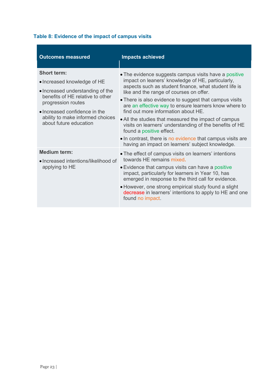#### **Table 8: Evidence of the impact of campus visits**

| <b>Outcomes measured</b>                                                                                                                                                                                                                       | <b>Impacts achieved</b>                                                                                                                                                                                                                                                                                                                                                                                                                                                                                                                                                                                                                   |
|------------------------------------------------------------------------------------------------------------------------------------------------------------------------------------------------------------------------------------------------|-------------------------------------------------------------------------------------------------------------------------------------------------------------------------------------------------------------------------------------------------------------------------------------------------------------------------------------------------------------------------------------------------------------------------------------------------------------------------------------------------------------------------------------------------------------------------------------------------------------------------------------------|
| <b>Short term:</b><br>• Increased knowledge of HE<br>• Increased understanding of the<br>benefits of HE relative to other<br>progression routes<br>• Increased confidence in the<br>ability to make informed choices<br>about future education | • The evidence suggests campus visits have a positive<br>impact on leaners' knowledge of HE, particularly,<br>aspects such as student finance, what student life is<br>like and the range of courses on offer.<br>• There is also evidence to suggest that campus visits<br>are an effective way to ensure learners know where to<br>find out more information about HE.<br>• All the studies that measured the impact of campus<br>visits on learners' understanding of the benefits of HE<br>found a positive effect.<br>• In contrast, there is no evidence that campus visits are<br>having an impact on learners' subject knowledge. |
| <b>Medium term:</b><br>· Increased intentions/likelihood of<br>applying to HE                                                                                                                                                                  | • The effect of campus visits on learners' intentions<br>towards HE remains mixed.<br>• Evidence that campus visits can have a positive<br>impact, particularly for learners in Year 10, has<br>emerged in response to the third call for evidence.<br>• However, one strong empirical study found a slight<br>decrease in learners' intentions to apply to HE and one<br>found no impact.                                                                                                                                                                                                                                                |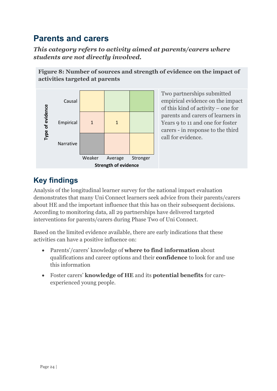### <span id="page-26-0"></span>**Parents and carers**

*This category refers to activity aimed at parents/carers where students are not directly involved.*



Two partnerships submitted empirical evidence on the impact of this kind of activity – one for parents and carers of learners in Years 9 to 11 and one for foster carers - in response to the third call for evidence.

## **Key findings**

Analysis of the longitudinal learner survey for the national impact evaluation demonstrates that many Uni Connect learners seek advice from their parents/carers about HE and the important influence that this has on their subsequent decisions. According to monitoring data, all 29 partnerships have delivered targeted interventions for parents/carers during Phase Two of Uni Connect.

Based on the limited evidence available, there are early indications that these activities can have a positive influence on:

- Parents'/carers' knowledge of **where to find information** about qualifications and career options and their **confidence** to look for and use this information
- Foster carers' **knowledge of HE** and its **potential benefits** for careexperienced young people.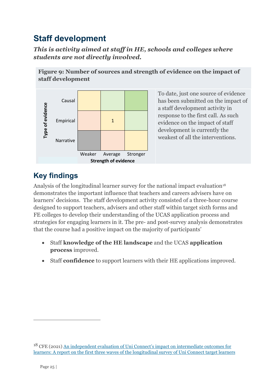# <span id="page-27-0"></span>**Staff development**

*This is activity aimed at staff in HE, schools and colleges where students are not directly involved.*

**Figure 9: Number of sources and strength of evidence on the impact of** 



To date, just one source of evidence has been submitted on the impact of a staff development activity in response to the first call. As such evidence on the impact of staff development is currently the weakest of all the interventions.

#### **Key findings**

Analysis of the longitudinal learner survey for the national impact evaluation<sup>[18](#page-27-1)</sup> demonstrates the important influence that teachers and careers advisers have on learners' decisions. The staff development activity consisted of a three-hour course designed to support teachers, advisers and other staff within target sixth forms and FE colleges to develop their understanding of the UCAS application process and strategies for engaging learners in it. The pre- and post-survey analysis demonstrates that the course had a positive impact on the majority of participants'

- Staff **knowledge of the HE landscape** and the UCAS **application process** improved.
- Staff **confidence** to support learners with their HE applications improved.

<span id="page-27-1"></span><sup>&</sup>lt;sup>18</sup> CFE (2021) An independent evaluation of Uni Connect's impact on intermediate outcomes for [learners: A report on the first three waves of the longitudinal survey of Uni Connect target learners](https://www.officeforstudents.org.uk/media/931324a7-ef78-442d-bfc5-9d3c6bb42062/uc_wave-2-survey-findings_final_for_web.pdf)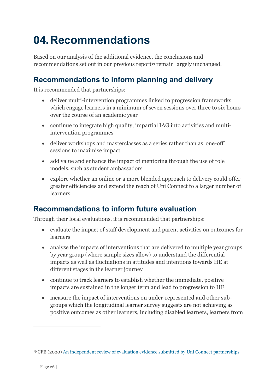# <span id="page-28-0"></span>**04.Recommendations**

Based on our analysis of the additional evidence, the conclusions and recommendations set out in our previous report<sup>[19](#page-28-3)</sup> remain largely unchanged.

#### <span id="page-28-1"></span>**Recommendations to inform planning and delivery**

It is recommended that partnerships:

- deliver multi-intervention programmes linked to progression frameworks which engage learners in a minimum of seven sessions over three to six hours over the course of an academic year
- continue to integrate high quality, impartial IAG into activities and multiintervention programmes
- deliver workshops and masterclasses as a series rather than as 'one-off' sessions to maximise impact
- add value and enhance the impact of mentoring through the use of role models, such as student ambassadors
- explore whether an online or a more blended approach to delivery could offer greater efficiencies and extend the reach of Uni Connect to a larger number of learners.

#### <span id="page-28-2"></span>**Recommendations to inform future evaluation**

Through their local evaluations, it is recommended that partnerships:

- evaluate the impact of staff development and parent activities on outcomes for learners
- analyse the impacts of interventions that are delivered to multiple year groups by year group (where sample sizes allow) to understand the differential impacts as well as fluctuations in attitudes and intentions towards HE at different stages in the learner journey
- continue to track learners to establish whether the immediate, positive impacts are sustained in the longer term and lead to progression to HE
- measure the impact of interventions on under-represented and other subgroups which the longitudinal learner survey suggests are not achieving as positive outcomes as other learners, including disabled learners, learners from

<span id="page-28-3"></span><sup>19</sup> CFE (2020[\) An independent review of evaluation evidence submitted by Uni Connect partnerships](https://www.officeforstudents.org.uk/media/e3989a60-1314-43f5-aee0-7e94ae3946da/cfe-review-of-uni-connect-evaluation-evidence.pdf)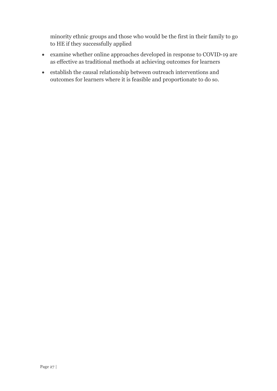minority ethnic groups and those who would be the first in their family to go to HE if they successfully applied

- examine whether online approaches developed in response to COVID-19 are as effective as traditional methods at achieving outcomes for learners
- establish the causal relationship between outreach interventions and outcomes for learners where it is feasible and proportionate to do so.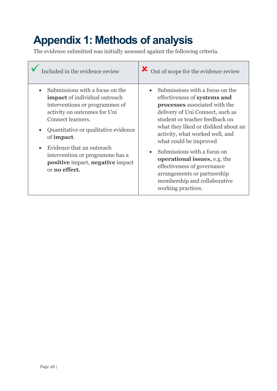# <span id="page-30-0"></span>**Appendix 1: Methods of analysis**

The evidence submitted was initially assessed against the following criteria.

| Included in the evidence review                                                                                                                                                                                                                                                                                                                   | > Out of scope for the evidence review                                                                                                                                                                                                                                                                                                                                                                                                                                 |
|---------------------------------------------------------------------------------------------------------------------------------------------------------------------------------------------------------------------------------------------------------------------------------------------------------------------------------------------------|------------------------------------------------------------------------------------------------------------------------------------------------------------------------------------------------------------------------------------------------------------------------------------------------------------------------------------------------------------------------------------------------------------------------------------------------------------------------|
| Submissions with a focus on the<br><b>impact</b> of individual outreach<br>interventions or programmes of<br>activity on outcomes for Uni<br>Connect learners.<br>Quantitative or qualitative evidence<br>of <b>impact</b> .<br>Evidence that an outreach<br>intervention or programme has a<br>positive impact, negative impact<br>or no effect. | Submissions with a focus on the<br>effectiveness of systems and<br>processes associated with the<br>delivery of Uni Connect, such as<br>student or teacher feedback on<br>what they liked or disliked about an<br>activity, what worked well, and<br>what could be improved<br>Submissions with a focus on<br><b>operational issues</b> , e.g. the<br>effectiveness of governance<br>arrangements or partnership<br>membership and collaborative<br>working practices. |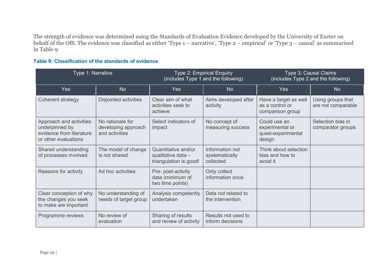The strength of evidence was determined using the Standards of Evaluation Evidence developed by the University of Exeter on behalf of the OfS. The evidence was classified as either 'Type 1 – narrative', 'Type 2 – empirical' or 'Type 3 – causal' as summarised in [Table 9](#page-31-0)

#### <span id="page-31-0"></span>**Table 9: Classification of the standards of evidence**

| Type 1: Narrative                                                                             |                                                           | Type 2: Empirical Enquiry<br>(includes Type 1 and the following)    |                                                | Type 3: Causal Claims<br>(includes Type 2 and the following)    |                                         |
|-----------------------------------------------------------------------------------------------|-----------------------------------------------------------|---------------------------------------------------------------------|------------------------------------------------|-----------------------------------------------------------------|-----------------------------------------|
| <b>Yes</b>                                                                                    | <b>No</b>                                                 | <b>Yes</b>                                                          | <b>No</b>                                      | Yes                                                             | N <sub>o</sub>                          |
| Coherent strategy                                                                             | Disjointed activities                                     | Clear aim of what<br>activities seek to<br>achieve                  | Aims developed after<br>activity               | Have a target as well<br>as a control or<br>comparison group    | Using groups that<br>are not comparable |
| Approach and activities<br>underpinned by<br>evidence from literature<br>or other evaluations | No rationale for<br>developing approach<br>and activities | Select indicators of<br>impact                                      | No concept of<br>measuring success             | Could use an<br>experimental or<br>quasi-experimental<br>design | Selection bias in<br>comparator groups  |
| Shared understanding<br>of processes involved                                                 | The model of change<br>is not shared                      | Quantitative and/or<br>qualitative data -<br>triangulation is good! | Information not<br>systematically<br>collected | Think about selection<br>bias and how to<br>avoid it            |                                         |
| Reasons for activity                                                                          | Ad hoc activities                                         | Pre- post-activity<br>data (minimum of<br>two time points)          | Only collect<br>information once               |                                                                 |                                         |
| Clear conception of why<br>the changes you seek<br>to make are important                      | No understanding of<br>needs of target group              | Analysis competently<br>undertaken                                  | Data not related to<br>the intervention        |                                                                 |                                         |
| Programme reviews                                                                             | No review of<br>evaluation                                | Sharing of results<br>and review of activity                        | Results not used to<br>inform decisions        |                                                                 |                                         |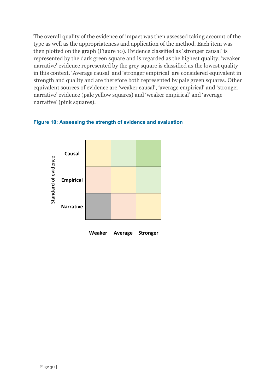The overall quality of the evidence of impact was then assessed taking account of the type as well as the appropriateness and application of the method. Each item was then plotted on the graph [\(Figure 10\)](#page-32-0). Evidence classified as 'stronger causal' is represented by the dark green square and is regarded as the highest quality; 'weaker narrative' evidence represented by the grey square is classified as the lowest quality in this context. 'Average causal' and 'stronger empirical' are considered equivalent in strength and quality and are therefore both represented by pale green squares. Other equivalent sources of evidence are 'weaker causal', 'average empirical' and 'stronger narrative' evidence (pale yellow squares) and 'weaker empirical' and 'average narrative' (pink squares).

#### <span id="page-32-0"></span>**Figure 10: Assessing the strength of evidence and evaluation**



**Weaker Average Stronger**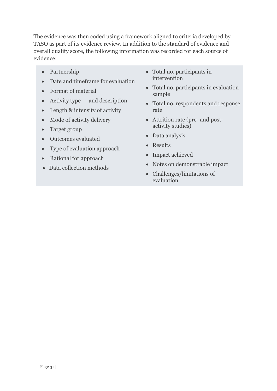The evidence was then coded using a framework aligned to criteria developed by TASO as part of its evidence review. In addition to the standard of evidence and overall quality score, the following information was recorded for each source of evidence:

- Partnership
- Date and timeframe for evaluation
- Format of material
- Activity type and description
- Length & intensity of activity
- Mode of activity delivery
- Target group
- Outcomes evaluated
- Type of evaluation approach
- Rational for approach
- Data collection methods
- Total no. participants in intervention
- Total no. participants in evaluation sample
- Total no. respondents and response rate
- Attrition rate (pre- and postactivity studies)
- Data analysis
- Results
- Impact achieved
- Notes on demonstrable impact
- Challenges/limitations of evaluation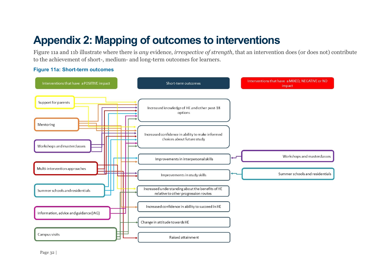# **Appendix 2: Mapping of outcomes to interventions**

[Figure 11a](#page-34-1) and 11b illustrate where there is *any* evidence, *irrespective of strength*, that an intervention does (or does not) contribute to the achievement of short-, medium- and long-term outcomes for learners.

#### <span id="page-34-1"></span>**Figure 11a: Short-term outcomes**

<span id="page-34-0"></span>